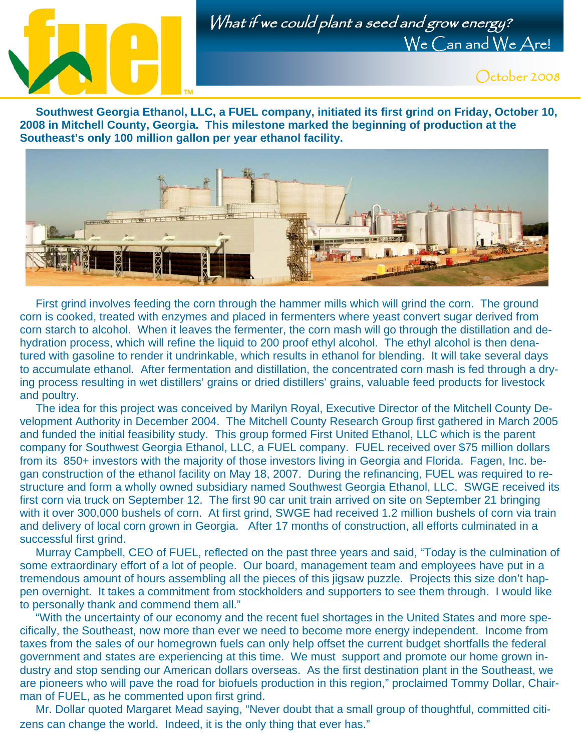

## What if we could plant a seed and grow energy? We Can and We Are!



 **Southwest Georgia Ethanol, LLC, a FUEL company, initiated its first grind on Friday, October 10, 2008 in Mitchell County, Georgia. This milestone marked the beginning of production at the Southeast's only 100 million gallon per year ethanol facility.** 



 First grind involves feeding the corn through the hammer mills which will grind the corn. The ground corn is cooked, treated with enzymes and placed in fermenters where yeast convert sugar derived from corn starch to alcohol. When it leaves the fermenter, the corn mash will go through the distillation and dehydration process, which will refine the liquid to 200 proof ethyl alcohol. The ethyl alcohol is then denatured with gasoline to render it undrinkable, which results in ethanol for blending. It will take several days to accumulate ethanol. After fermentation and distillation, the concentrated corn mash is fed through a drying process resulting in wet distillers' grains or dried distillers' grains, valuable feed products for livestock and poultry.

 The idea for this project was conceived by Marilyn Royal, Executive Director of the Mitchell County Development Authority in December 2004. The Mitchell County Research Group first gathered in March 2005 and funded the initial feasibility study. This group formed First United Ethanol, LLC which is the parent company for Southwest Georgia Ethanol, LLC, a FUEL company. FUEL received over \$75 million dollars from its 850+ investors with the majority of those investors living in Georgia and Florida. Fagen, Inc. began construction of the ethanol facility on May 18, 2007. During the refinancing, FUEL was required to restructure and form a wholly owned subsidiary named Southwest Georgia Ethanol, LLC. SWGE received its first corn via truck on September 12. The first 90 car unit train arrived on site on September 21 bringing with it over 300,000 bushels of corn. At first grind, SWGE had received 1.2 million bushels of corn via train and delivery of local corn grown in Georgia. After 17 months of construction, all efforts culminated in a successful first grind.

 Murray Campbell, CEO of FUEL, reflected on the past three years and said, "Today is the culmination of some extraordinary effort of a lot of people. Our board, management team and employees have put in a tremendous amount of hours assembling all the pieces of this jigsaw puzzle. Projects this size don't happen overnight. It takes a commitment from stockholders and supporters to see them through. I would like to personally thank and commend them all."

 "With the uncertainty of our economy and the recent fuel shortages in the United States and more specifically, the Southeast, now more than ever we need to become more energy independent. Income from taxes from the sales of our homegrown fuels can only help offset the current budget shortfalls the federal government and states are experiencing at this time. We must support and promote our home grown industry and stop sending our American dollars overseas. As the first destination plant in the Southeast, we are pioneers who will pave the road for biofuels production in this region," proclaimed Tommy Dollar, Chairman of FUEL, as he commented upon first grind.

 Mr. Dollar quoted Margaret Mead saying, "Never doubt that a small group of thoughtful, committed citizens can change the world. Indeed, it is the only thing that ever has."